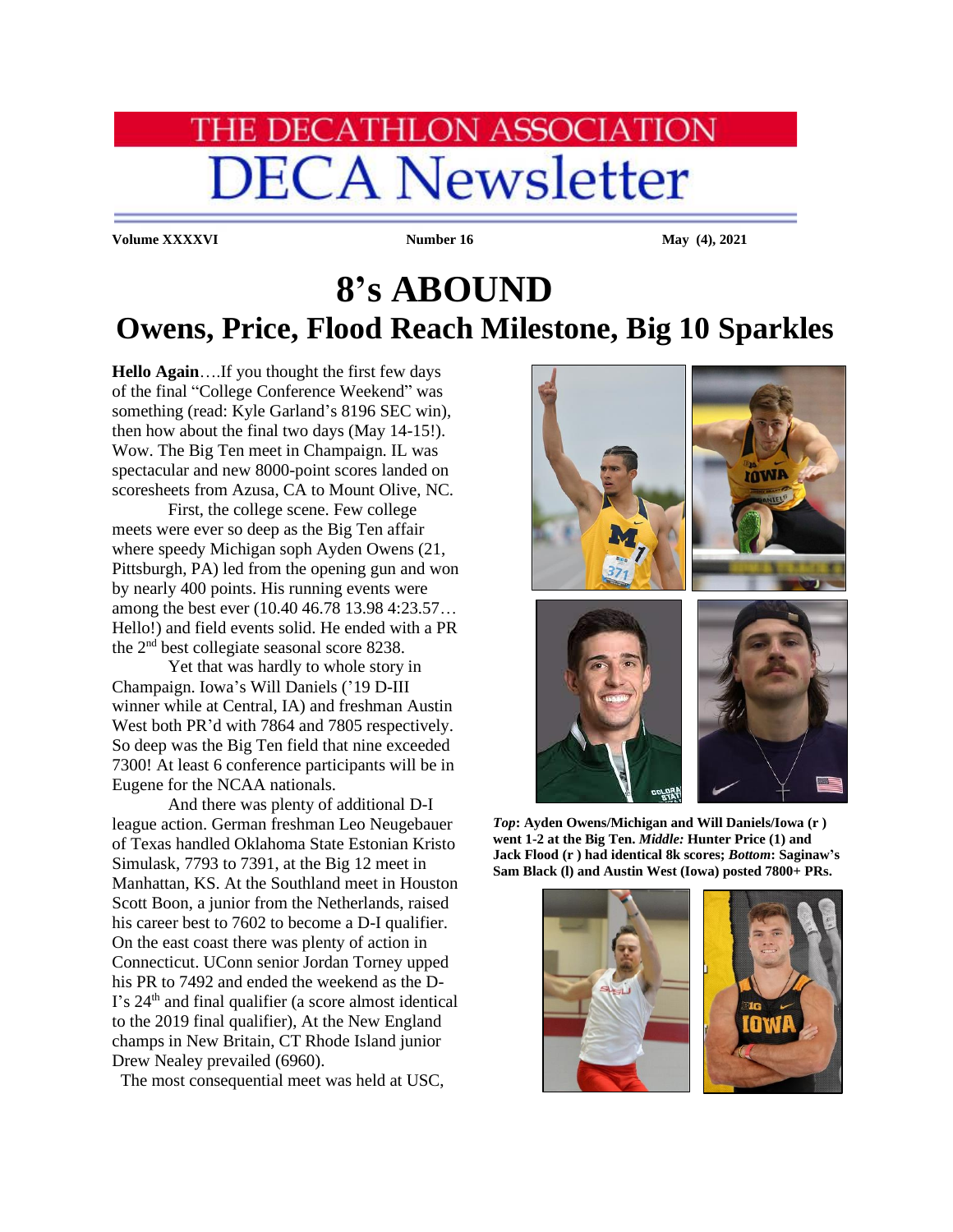## **IE DECATHLON ASSOCIATION DECA Newsletter**

**Volume XXXXVI Number 16** May (4), 2021

## **8's ABOUND Owens, Price, Flood Reach Milestone, Big 10 Sparkles**

**Hello Again**….If you thought the first few days of the final "College Conference Weekend" was something (read: Kyle Garland's 8196 SEC win), then how about the final two days (May 14-15!). Wow. The Big Ten meet in Champaign. IL was spectacular and new 8000-point scores landed on scoresheets from Azusa, CA to Mount Olive, NC.

First, the college scene. Few college meets were ever so deep as the Big Ten affair where speedy Michigan soph Ayden Owens (21, Pittsburgh, PA) led from the opening gun and won by nearly 400 points. His running events were among the best ever (10.40 46.78 13.98 4:23.57… Hello!) and field events solid. He ended with a PR the 2nd best collegiate seasonal score 8238.

Yet that was hardly to whole story in Champaign. Iowa's Will Daniels ('19 D-III winner while at Central, IA) and freshman Austin West both PR'd with 7864 and 7805 respectively. So deep was the Big Ten field that nine exceeded 7300! At least 6 conference participants will be in Eugene for the NCAA nationals.

And there was plenty of additional D-I league action. German freshman Leo Neugebauer of Texas handled Oklahoma State Estonian Kristo Simulask, 7793 to 7391, at the Big 12 meet in Manhattan, KS. At the Southland meet in Houston Scott Boon, a junior from the Netherlands, raised his career best to 7602 to become a D-I qualifier. On the east coast there was plenty of action in Connecticut. UConn senior Jordan Torney upped his PR to 7492 and ended the weekend as the D-I's 24<sup>th</sup> and final qualifier (a score almost identical to the 2019 final qualifier), At the New England champs in New Britain, CT Rhode Island junior Drew Nealey prevailed (6960).

The most consequential meet was held at USC,



*Top***: Ayden Owens/Michigan and Will Daniels/Iowa (r ) went 1-2 at the Big Ten.** *Middle:* **Hunter Price (1) and Jack Flood (r ) had identical 8k scores;** *Bottom***: Saginaw's Sam Black (l) and Austin West (Iowa) posted 7800+ PRs.**